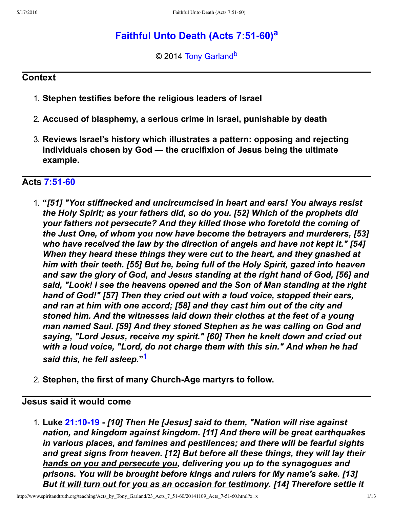# **F[a](#page-12-0)ithful Unto Death (Acts 7:51-60)**<sup>a</sup>

<span id="page-0-3"></span><span id="page-0-2"></span>© 2014 [Tony Garland](http://www.spiritandtruth.org/id/tg.htm)<sup>[b](#page-12-1)</sup>

#### **Context**

- 1. **Stephen testifies before the religious leaders of Israel**
- 2. **Accused of blasphemy, a serious crime in Israel, punishable by death**
- 3. **Reviews Israel's history which illustrates a pattern: opposing and rejecting individuals chosen by God — the crucifixion of Jesus being the ultimate example.**

### <span id="page-0-1"></span>Acts **7:51-60**

- 1. **"***[51] "You stiffnecked and uncircumcised in heart and ears! You always resist the Holy Spirit; as your fathers did, so do you. [52] Which of the prophets did your fathers not persecute? And they killed those who foretold the coming of the Just One, of whom you now have become the betrayers and murderers, [53] who have received the law by the direction of angels and have not kept it." [54] When they heard these things they were cut to the heart, and they gnashed at him with their teeth. [55] But he, being full of the Holy Spirit, gazed into heaven and saw the glory of God, and Jesus standing at the right hand of God, [56] and said, "Look! I see the heavens opened and the Son of Man standing at the right hand of God!" [57] Then they cried out with a loud voice, stopped their ears, and ran at him with one accord; [58] and they cast him out of the city and stoned him. And the witnesses laid down their clothes at the feet of a young man named Saul. [59] And they stoned Stephen as he was calling on God and saying, "Lord Jesus, receive my spirit." [60] Then he knelt down and cried out with a loud voice, "Lord, do not charge them with this sin." And when he had said this, he fell asleep.***" [1](#page-11-0)**
- <span id="page-0-0"></span>2. **Stephen, the first of many Church-Age martyrs to follow.**

### **Jesus said it would come**

1. **Luke [21:1019](http://www.spiritandtruth.org/bibles/nasb/b42c021.htm#Luke_C21V10)** *[10] Then He [Jesus] said to them, "Nation will rise against nation, and kingdom against kingdom. [11] And there will be great earthquakes in various places, and famines and pestilences; and there will be fearful sights and great signs from heaven. [12] But before all these things, they will lay their hands on you and persecute you, delivering you up to the synagogues and prisons. You will be brought before kings and rulers for My name's sake. [13] But it will turn out for you as an occasion for testimony. [14] Therefore settle it*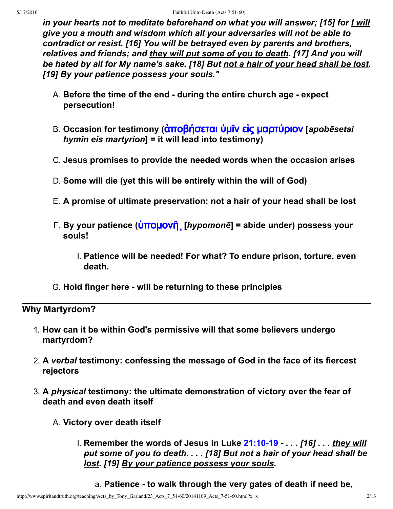*in your hearts not to meditate beforehand on what you will answer; [15] for I will give you a mouth and wisdom which all your adversaries will not be able to contradict or resist. [16] You will be betrayed even by parents and brothers, relatives and friends; and they will put some of you to death. [17] And you will be hated by all for My name's sake. [18] But not a hair of your head shall be lost. [19] By your patience possess your souls."*

- A. **Before the time of the end during the entire church age expect persecution!**
- B. Occasion for testimony (ἀποβήσεται ὑμῖν εἰς μαρτύριον [apobēsetai *hymin eis martyrion***] = it will lead into testimony)**
- C. **Jesus promises to provide the needed words when the occasion arises**
- D. **Some will die (yet this will be entirely within the will of God)**
- E. **A promise of ultimate preservation: not a hair of your head shall be lost**
- F. **By your patience (**[ὑ˭ˬ˩ˬ˪ῆι](http://www.spiritandtruth.org/fontsu/index.htm) **[***hypomonē***] = abide under) possess your souls!**
	- I. **Patience will be needed! For what? To endure prison, torture, even death.**
- G. **Hold finger here will be returning to these principles**

### **Why Martyrdom?**

- 1. **How can it be within God's permissive will that some believers undergo martyrdom?**
- 2. **A** *verbal* **testimony: confessing the message of God in the face of its fiercest rejectors**
- 3. **A** *physical* **testimony: the ultimate demonstration of victory over the fear of death and even death itself**
	- A. **Victory over death itself**
		- I. **Remember the words of Jesus in Luke [21:1019](http://www.spiritandtruth.org/bibles/nasb/b42c021.htm#Luke_C21V10)** *. . . [16] . . . they will put some of you to death. . . . [18] But not a hair of your head shall be lost. [19] By your patience possess your souls.*
			- a. **Patience to walk through the very gates of death if need be,**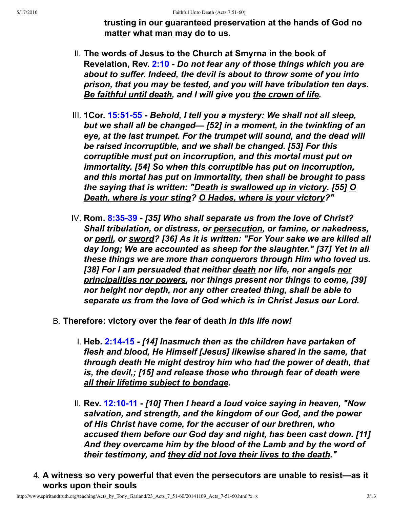**trusting in our guaranteed preservation at the hands of God no matter what man may do to us.**

- II. **The words of Jesus to the Church at Smyrna in the book of Revelation, Rev. [2:10](http://www.spiritandtruth.org/bibles/nasb/b66c002.htm#Rev._C2V10)** *Do not fear any of those things which you are about to suffer. Indeed, the devil is about to throw some of you into prison, that you may be tested, and you will have tribulation ten days. Be faithful until death, and I will give you the crown of life.*
- III. **1Cor. [15:5155](http://www.spiritandtruth.org/bibles/nasb/b46c015.htm#1Cor._C15V51)** *Behold, I tell you a mystery: We shall not all sleep, but we shall all be changed— [52] in a moment, in the twinkling of an eye, at the last trumpet. For the trumpet will sound, and the dead will be raised incorruptible, and we shall be changed. [53] For this corruptible must put on incorruption, and this mortal must put on immortality. [54] So when this corruptible has put on incorruption, and this mortal has put on immortality, then shall be brought to pass the saying that is written: "Death is swallowed up in victory. [55] O Death, where is your sting? O Hades, where is your victory?"*
- IV. **Rom. [8:3539](http://www.spiritandtruth.org/bibles/nasb/b45c008.htm#Rom._C8V35)** *[35] Who shall separate us from the love of Christ? Shall tribulation, or distress, or persecution, or famine, or nakedness, or peril, or sword? [36] As it is written: "For Your sake we are killed all day long; We are accounted as sheep for the slaughter." [37] Yet in all these things we are more than conquerors through Him who loved us. [38] For I am persuaded that neither death nor life, nor angels nor principalities nor powers, nor things present nor things to come, [39] nor height nor depth, nor any other created thing, shall be able to separate us from the love of God which is in Christ Jesus our Lord.*
- B. **Therefore: victory over the** *fear* **of death** *in this life now!*
	- I. **Heb. [2:1415](http://www.spiritandtruth.org/bibles/nasb/b58c002.htm#Heb._C2V14)** *[14] Inasmuch then as the children have partaken of flesh and blood, He Himself [Jesus] likewise shared in the same, that through death He might destroy him who had the power of death, that is, the devil,; [15] and release those who through fear of death were all their lifetime subject to bondage***.**
	- II. **Rev. [12:1011](http://www.spiritandtruth.org/bibles/nasb/b66c012.htm#Rev._C12V10)** *[10] Then I heard a loud voice saying in heaven, "Now salvation, and strength, and the kingdom of our God, and the power of His Christ have come, for the accuser of our brethren, who accused them before our God day and night, has been cast down. [11] And they overcame him by the blood of the Lamb and by the word of their testimony, and they did not love their lives to the death."*
- 4. **A witness so very powerful that even the persecutors are unable to resist—as it works upon their souls**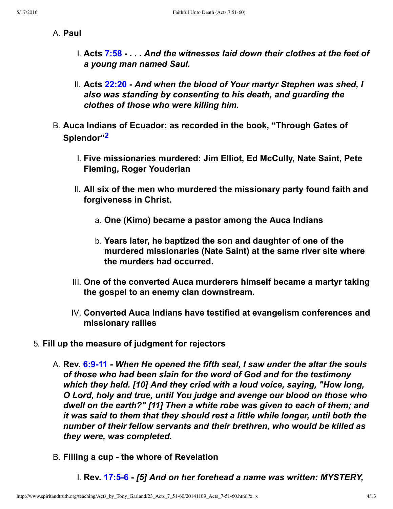#### A. **Paul**

- I. **Acts [7:58](http://www.spiritandtruth.org/bibles/nasb/b44c007.htm#Acts_C7V58)** *. . . And the witnesses laid down their clothes at the feet of a young man named Saul.*
- II. **Acts [22:20](http://www.spiritandtruth.org/bibles/nasb/b44c022.htm#Acts_C22V20)** *And when the blood of Your martyr Stephen was shed, I also was standing by consenting to his death, and guarding the clothes of those who were killing him.*
- <span id="page-3-0"></span>B. **Auca Indians of Ecuador: as recorded in the book, "Through Gates of Splendor"[2](#page-11-1)**
	- I. **Five missionaries murdered: Jim Elliot, Ed McCully, Nate Saint, Pete Fleming, Roger Youderian**
	- II. **All six of the men who murdered the missionary party found faith and forgiveness in Christ.**
		- a. **One (Kimo) became a pastor among the Auca Indians**
		- b. **Years later, he baptized the son and daughter of one of the murdered missionaries (Nate Saint) at the same river site where the murders had occurred.**
	- III. **One of the converted Auca murderers himself became a martyr taking the gospel to an enemy clan downstream.**
	- IV. **Converted Auca Indians have testified at evangelism conferences and missionary rallies**
- 5. **Fill up the measure of judgment for rejectors**
	- A. **Rev. [6:911](http://www.spiritandtruth.org/bibles/nasb/b66c006.htm#Rev._C6V9)** *When He opened the fifth seal, I saw under the altar the souls of those who had been slain for the word of God and for the testimony which they held. [10] And they cried with a loud voice, saying, "How long, O Lord, holy and true, until You judge and avenge our blood on those who dwell on the earth?" [11] Then a white robe was given to each of them; and it was said to them that they should rest a little while longer, until both the number of their fellow servants and their brethren, who would be killed as they were, was completed.*
	- B. **Filling a cup the whore of Revelation**
		- I. **Rev. [17:56](http://www.spiritandtruth.org/bibles/nasb/b66c017.htm#Rev._C17V5)** *[5] And on her forehead a name was written: MYSTERY,*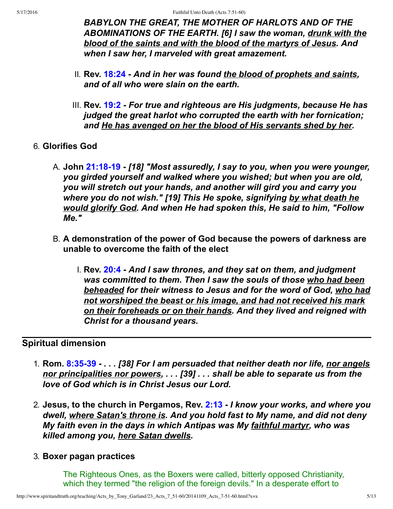*BABYLON THE GREAT, THE MOTHER OF HARLOTS AND OF THE ABOMINATIONS OF THE EARTH. [6] I saw the woman, drunk with the blood of the saints and with the blood of the martyrs of Jesus. And when I saw her, I marveled with great amazement.*

- II. **Rev. [18:24](http://www.spiritandtruth.org/bibles/nasb/b66c018.htm#Rev._C18V24)** *And in her was found the blood of prophets and saints, and of all who were slain on the earth.*
- III. **Rev. [19:2](http://www.spiritandtruth.org/bibles/nasb/b66c019.htm#Rev._C19V2)** *For true and righteous are His judgments, because He has judged the great harlot who corrupted the earth with her fornication; and He has avenged on her the blood of His servants shed by her.*
- 6. **Glorifies God**
	- A. **John [21:1819](http://www.spiritandtruth.org/bibles/nasb/b43c021.htm#John_C21V18)** *[18] "Most assuredly, I say to you, when you were younger, you girded yourself and walked where you wished; but when you are old, you will stretch out your hands, and another will gird you and carry you where you do not wish." [19] This He spoke, signifying by what death he would glorify God. And when He had spoken this, He said to him, "Follow Me."*
	- B. **A demonstration of the power of God because the powers of darkness are unable to overcome the faith of the elect**
		- I. **Rev. [20:4](http://www.spiritandtruth.org/bibles/nasb/b66c020.htm#Rev._C20V4)** *And I saw thrones, and they sat on them, and judgment was committed to them. Then I saw the souls of those who had been beheaded for their witness to Jesus and for the word of God, who had not worshiped the beast or his image, and had not received his mark on their foreheads or on their hands. And they lived and reigned with Christ for a thousand years.*

### **Spiritual dimension**

- 1. **Rom. [8:3539](http://www.spiritandtruth.org/bibles/nasb/b45c008.htm#Rom._C8V35)** *. . . [38] For I am persuaded that neither death nor life, nor angels nor principalities nor powers, . . . [39] . . . shall be able to separate us from the love of God which is in Christ Jesus our Lord.*
- 2. **Jesus, to the church in Pergamos, Rev. [2:13](http://www.spiritandtruth.org/bibles/nasb/b66c002.htm#Rev._C2V13)** *I know your works, and where you dwell, where Satan's throne is. And you hold fast to My name, and did not deny My faith even in the days in which Antipas was My faithful martyr, who was killed among you, here Satan dwells.*

#### 3. **Boxer pagan practices**

The Righteous Ones, as the Boxers were called, bitterly opposed Christianity, which they termed "the religion of the foreign devils." In a desperate effort to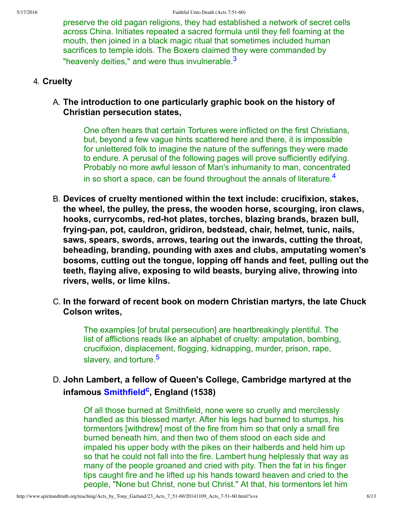preserve the old pagan religions, they had established a network of secret cells across China. Initiates repeated a sacred formula until they fell foaming at the mouth, then joined in a black magic ritual that sometimes included human sacrifices to temple idols. The Boxers claimed they were commanded by "heavenly deities," and were thus invulnerable. $3$ 

#### 4. **Cruelty**

#### A. **The introduction to one particularly graphic book on the history of Christian persecution states,**

<span id="page-5-1"></span><span id="page-5-0"></span>One often hears that certain Tortures were inflicted on the first Christians, but, beyond a few vague hints scattered here and there, it is impossible for unlettered folk to imagine the nature of the sufferings they were made to endure. A perusal of the following pages will prove sufficiently edifying. Probably no more awful lesson of Man's inhumanity to man, concentrated in so short a space, can be found throughout the annals of literature.<sup>[4](#page-11-3)</sup>

- B. **Devices of cruelty mentioned within the text include: crucifixion, stakes, the wheel, the pulley, the press, the wooden horse, scourging, iron claws,** hooks, currycombs, red-hot plates, torches, blazing brands, brazen bull, frying-pan, pot, cauldron, gridiron, bedstead, chair, helmet, tunic, nails, **saws, spears, swords, arrows, tearing out the inwards, cutting the throat, beheading, branding, pounding with axes and clubs, amputating women's bosoms, cutting out the tongue, lopping off hands and feet, pulling out the teeth, flaying alive, exposing to wild beasts, burying alive, throwing into rivers, wells, or lime kilns.**
- C. **In the forward of recent book on modern Christian martyrs, the late Chuck Colson writes,**

<span id="page-5-2"></span>The examples [of brutal persecution] are heartbreakingly plentiful. The list of afflictions reads like an alphabet of cruelty: amputation, bombing, crucifixion, displacement, flogging, kidnapping, murder, prison, rape, slavery, and torture.<sup>[5](#page-11-4)</sup>

## D. **John Lambert, a fellow of Queen's College, Cambridge martyred at the infamous [Smithfield](http://www.protestant-alliance.org/page29.html)[c](#page-12-2) , England (1538)**

<span id="page-5-3"></span>Of all those burned at Smithfield, none were so cruelly and mercilessly handled as this blessed martyr. After his legs had burned to stumps, his tormentors [withdrew] most of the fire from him so that only a small fire burned beneath him, and then two of them stood on each side and impaled his upper body with the pikes on their halberds and held him up so that he could not fall into the fire. Lambert hung helplessly that way as many of the people groaned and cried with pity. Then the fat in his finger tips caught fire and he lifted up his hands toward heaven and cried to the people, "None but Christ, none but Christ." At that, his tormentors let him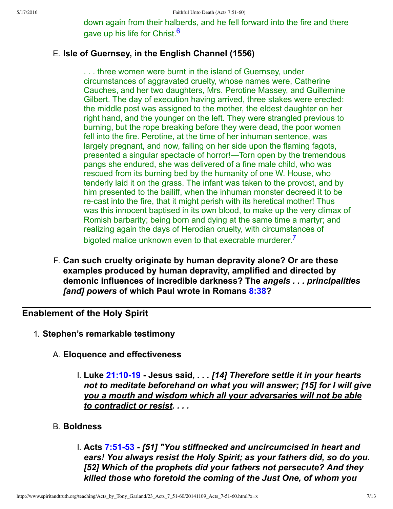<span id="page-6-0"></span>down again from their halberds, and he fell forward into the fire and there gave up his life for Christ.<sup>[6](#page-11-5)</sup>

### E. **Isle of Guernsey, in the English Channel (1556)**

. . . three women were burnt in the island of Guernsey, under circumstances of aggravated cruelty, whose names were, Catherine Cauches, and her two daughters, Mrs. Perotine Massey, and Guillemine Gilbert. The day of execution having arrived, three stakes were erected: the middle post was assigned to the mother, the eldest daughter on her right hand, and the younger on the left. They were strangled previous to burning, but the rope breaking before they were dead, the poor women fell into the fire. Perotine, at the time of her inhuman sentence, was largely pregnant, and now, falling on her side upon the flaming fagots, presented a singular spectacle of horror!—Torn open by the tremendous pangs she endured, she was delivered of a fine male child, who was rescued from its burning bed by the humanity of one W. House, who tenderly laid it on the grass. The infant was taken to the provost, and by him presented to the bailiff, when the inhuman monster decreed it to be re-cast into the fire, that it might perish with its heretical mother! Thus was this innocent baptised in its own blood, to make up the very climax of Romish barbarity; being born and dying at the same time a martyr; and realizing again the days of Herodian cruelty, with circumstances of bigoted malice unknown even to that execrable murderer.<sup>[7](#page-11-6)</sup>

<span id="page-6-1"></span>F. **Can such cruelty originate by human depravity alone? Or are these examples produced by human depravity, amplified and directed by demonic influences of incredible darkness? The** *angels . . . principalities [and] powers* **of which Paul wrote in Romans [8:38?](http://www.spiritandtruth.org/bibles/nasb/b45c008.htm#Rom._C8V38)**

### **Enablement of the Holy Spirit**

- 1. **Stephen's remarkable testimony**
	- A. **Eloquence and effectiveness**
		- I. **Luke [21:1019](http://www.spiritandtruth.org/bibles/nasb/b42c021.htm#Luke_C21V10) Jesus said,** *. . . [14] Therefore settle it in your hearts not to meditate beforehand on what you will answer; [15] for I will give you a mouth and wisdom which all your adversaries will not be able to contradict or resist. . . .*
	- B. **Boldness**
		- I. **Acts [7:5153](http://www.spiritandtruth.org/bibles/nasb/b44c007.htm#Acts_C7V51)** *[51] "You stiffnecked and uncircumcised in heart and ears! You always resist the Holy Spirit; as your fathers did, so do you. [52] Which of the prophets did your fathers not persecute? And they killed those who foretold the coming of the Just One, of whom you*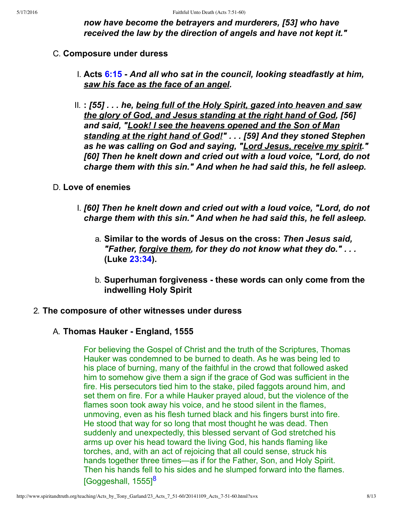*now have become the betrayers and murderers, [53] who have received the law by the direction of angels and have not kept it."*

#### C. **Composure under duress**

- I. **Acts [6:15](http://www.spiritandtruth.org/bibles/nasb/b44c006.htm#Acts_C6V15)** *And all who sat in the council, looking steadfastly at him, saw his face as the face of an angel.*
- II. **:** *[55] . . . he, being full of the Holy Spirit, gazed into heaven and saw the glory of God, and Jesus standing at the right hand of God, [56] and said, "Look! I see the heavens opened and the Son of Man standing at the right hand of God!" . . . [59] And they stoned Stephen as he was calling on God and saying, "Lord Jesus, receive my spirit." [60] Then he knelt down and cried out with a loud voice, "Lord, do not charge them with this sin." And when he had said this, he fell asleep.*

#### D. **Love of enemies**

- I. *[60] Then he knelt down and cried out with a loud voice, "Lord, do not charge them with this sin." And when he had said this, he fell asleep.*
	- a. **Similar to the words of Jesus on the cross:** *Then Jesus said, "Father, forgive them, for they do not know what they do." . . .* **(Luke [23:34](http://www.spiritandtruth.org/bibles/nasb/b42c023.htm#Luke_C23V34)).**
	- b. **Superhuman forgiveness these words can only come from the indwelling Holy Spirit**

#### 2. **The composure of other witnesses under duress**

#### A. **Thomas Hauker England, 1555**

<span id="page-7-0"></span>For believing the Gospel of Christ and the truth of the Scriptures, Thomas Hauker was condemned to be burned to death. As he was being led to his place of burning, many of the faithful in the crowd that followed asked him to somehow give them a sign if the grace of God was sufficient in the fire. His persecutors tied him to the stake, piled faggots around him, and set them on fire. For a while Hauker prayed aloud, but the violence of the flames soon took away his voice, and he stood silent in the flames, unmoving, even as his flesh turned black and his fingers burst into fire. He stood that way for so long that most thought he was dead. Then suddenly and unexpectedly, this blessed servant of God stretched his arms up over his head toward the living God, his hands flaming like torches, and, with an act of rejoicing that all could sense, struck his hands together three times—as if for the Father, Son, and Holy Spirit. Then his hands fell to his sides and he slumped forward into the flames. [Goggeshall, 1555]<sup>[8](#page-11-7)</sup>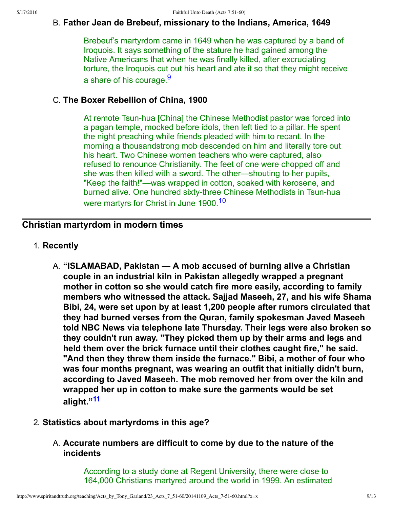#### B. **Father Jean de Brebeuf, missionary to the Indians, America, 1649**

<span id="page-8-0"></span>Brebeuf's martyrdom came in 1649 when he was captured by a band of Iroquois. It says something of the stature he had gained among the Native Americans that when he was finally killed, after excruciating torture, the Iroquois cut out his heart and ate it so that they might receive a share of his courage.<sup>[9](#page-11-8)</sup>

#### C. **The Boxer Rebellion of China, 1900**

<span id="page-8-1"></span>At remote Tsun-hua [China] the Chinese Methodist pastor was forced into a pagan temple, mocked before idols, then left tied to a pillar. He spent the night preaching while friends pleaded with him to recant. In the morning a thousandstrong mob descended on him and literally tore out his heart. Two Chinese women teachers who were captured, also refused to renounce Christianity. The feet of one were chopped off and she was then killed with a sword. The other—shouting to her pupils, "Keep the faith!"—was wrapped in cotton, soaked with kerosene, and burned alive. One hundred sixty-three Chinese Methodists in Tsun-hua were martyrs for Christ in June 1900.<sup>[10](#page-11-9)</sup>

## **Christian martyrdom in modern times**

- 1. **Recently**
	- A. **"ISLAMABAD, Pakistan A mob accused of burning alive a Christian couple in an industrial kiln in Pakistan allegedly wrapped a pregnant mother in cotton so she would catch fire more easily, according to family members who witnessed the attack. Sajjad Maseeh, 27, and his wife Shama Bibi, 24, were set upon by at least 1,200 people after rumors circulated that they had burned verses from the Quran, family spokesman Javed Maseeh told NBC News via telephone late Thursday. Their legs were also broken so they couldn't run away. "They picked them up by their arms and legs and held them over the brick furnace until their clothes caught fire," he said. "And then they threw them inside the furnace." Bibi, a mother of four who was four months pregnant, was wearing an outfit that initially didn't burn, according to Javed Maseeh. The mob removed her from over the kiln and wrapped her up in cotton to make sure the garments would be set alight."[11](#page-11-10)**

#### 2. **Statistics about martyrdoms in this age?**

<span id="page-8-2"></span>A. **Accurate numbers are difficult to come by due to the nature of the incidents**

> According to a study done at Regent University, there were close to 164,000 Christians martyred around the world in 1999. An estimated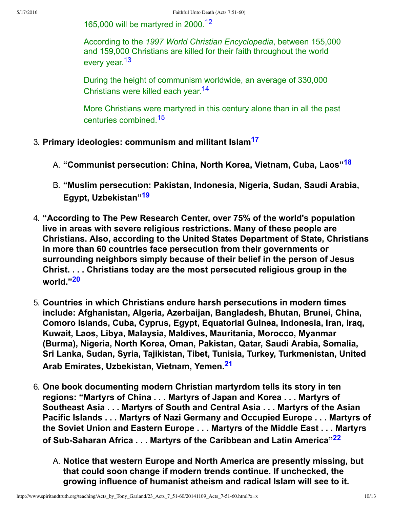<span id="page-9-0"></span>165,000 will be martyred in 2000.<sup>[12](#page-11-11)</sup>

<span id="page-9-1"></span>According to the *1997 World Christian Encyclopedia*, between 155,000 and 159,000 Christians are killed for their faith throughout the world every year.<sup>[13](#page-11-12)</sup>

<span id="page-9-2"></span>During the height of communism worldwide, an average of 330,000 Christians were killed each year.[14](#page-11-13)

<span id="page-9-6"></span><span id="page-9-5"></span><span id="page-9-4"></span><span id="page-9-3"></span>More Christians were martyred in this century alone than in all the past centuries combined.[15](#page-11-14)

- 3. **Primary ideologies: communism and militant Islam[17](#page-11-15)**
	- A. **"Communist persecution: China, North Korea, Vietnam, Cuba, Laos"[18](#page-11-16)**
	- B. **"Muslim persecution: Pakistan, Indonesia, Nigeria, Sudan, Saudi Arabia, Egypt, Uzbekistan"[19](#page-11-17)**
- 4. **"According to The Pew Research Center, over 75% of the world's population live in areas with severe religious restrictions. Many of these people are Christians. Also, according to the United States Department of State, Christians in more than 60 countries face persecution from their governments or surrounding neighbors simply because of their belief in the person of Jesus Christ. . . . Christians today are the most persecuted religious group in the world."[20](#page-11-18)**
- <span id="page-9-7"></span>5. **Countries in which Christians endure harsh persecutions in modern times include: Afghanistan, Algeria, Azerbaijan, Bangladesh, Bhutan, Brunei, China, Comoro Islands, Cuba, Cyprus, Egypt, Equatorial Guinea, Indonesia, Iran, Iraq, Kuwait, Laos, Libya, Malaysia, Maldives, Mauritania, Morocco, Myanmar (Burma), Nigeria, North Korea, Oman, Pakistan, Qatar, Saudi Arabia, Somalia, Sri Lanka, Sudan, Syria, Tajikistan, Tibet, Tunisia, Turkey, Turkmenistan, United Arab Emirates, Uzbekistan, Vietnam, Yemen.[21](#page-11-19)**
- <span id="page-9-9"></span><span id="page-9-8"></span>6. **One book documenting modern Christian martyrdom tells its story in ten regions: "Martyrs of China . . . Martyrs of Japan and Korea . . . Martyrs of Southeast Asia . . . Martyrs of South and Central Asia . . . Martyrs of the Asian Pacific Islands . . . Martyrs of Nazi Germany and Occupied Europe . . . Martyrs of the Soviet Union and Eastern Europe . . . Martyrs of the Middle East . . . Martyrs** of Sub-Saharan Africa . . . Martyrs of the Caribbean and Latin America"<sup>[22](#page-11-20)</sup>
	- A. **Notice that western Europe and North America are presently missing, but that could soon change if modern trends continue. If unchecked, the growing influence of humanist atheism and radical Islam will see to it.**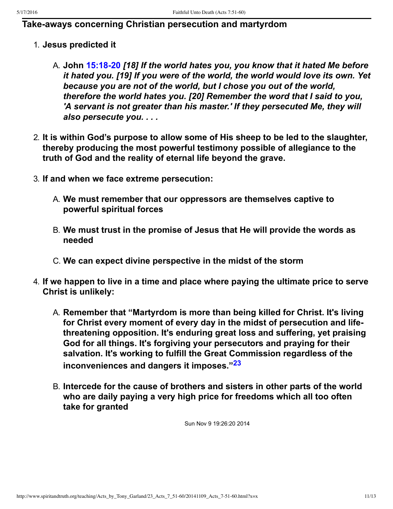### **Take-aways concerning Christian persecution and martyrdom**

- 1. **Jesus predicted it**
	- A. **John [15:1820](http://www.spiritandtruth.org/bibles/nasb/b43c015.htm#John_C15V18)** *[18] If the world hates you, you know that it hated Me before it hated you. [19] If you were of the world, the world would love its own. Yet because you are not of the world, but I chose you out of the world, therefore the world hates you. [20] Remember the word that I said to you, 'A servant is not greater than his master.' If they persecuted Me, they will also persecute you. . . .*
- 2. **It is within God's purpose to allow some of His sheep to be led to the slaughter, thereby producing the most powerful testimony possible of allegiance to the truth of God and the reality of eternal life beyond the grave.**
- 3. **If and when we face extreme persecution:**
	- A. **We must remember that our oppressors are themselves captive to powerful spiritual forces**
	- B. **We must trust in the promise of Jesus that He will provide the words as needed**
	- C. **We can expect divine perspective in the midst of the storm**
- 4. **If we happen to live in a time and place where paying the ultimate price to serve Christ is unlikely:**
	- A. **Remember that "Martyrdom is more than being killed for Christ. It's living for Christ every moment of every day in the midst of persecution and lifethreatening opposition. It's enduring great loss and suffering, yet praising God for all things. It's forgiving your persecutors and praying for their salvation. It's working to fulfill the Great Commission regardless of the inconveniences and dangers it imposes."[23](#page-11-21)**
	- B. **Intercede for the cause of brothers and sisters in other parts of the world who are daily paying a very high price for freedoms which all too often take for granted**

<span id="page-10-0"></span>Sun Nov 9 19:26:20 2014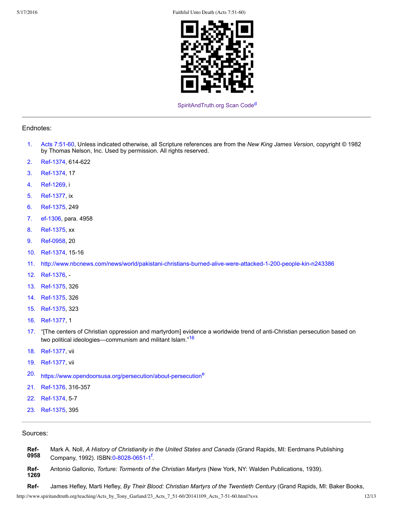5/17/2016 Faithful Unto Death (Acts 7:51-60)



<span id="page-11-27"></span>[SpiritAndTruth.org Scan Code](http://www.spiritandtruth.org/)<sup>[d](#page-12-3)</sup>

#### Endnotes:

- <span id="page-11-0"></span>[1.](#page-0-0) [Acts 7:5160,](#page-0-1) Unless indicated otherwise, all Scripture references are from the *New King James Version*, copyright © 1982 by Thomas Nelson, Inc. Used by permission. All rights reserved.
- <span id="page-11-1"></span>[2.](#page-3-0) Ref-1374, 614-622
- <span id="page-11-2"></span>[3.](#page-5-0) Ref-1374, 17
- <span id="page-11-3"></span>[4.](#page-5-1) Ref-1269, i
- <span id="page-11-4"></span>[5.](#page-5-2) Ref-1377, ix
- <span id="page-11-5"></span>[6.](#page-6-0) Ref-1375, 249
- <span id="page-11-6"></span>[7.](#page-6-1) ef-1306, para. 4958
- <span id="page-11-7"></span>[8.](#page-7-0) Ref-1375, xx
- <span id="page-11-8"></span>[9.](#page-8-0) Ref-0958, 20
- <span id="page-11-9"></span>[10.](#page-8-1) Ref-1374, 15-16
- <span id="page-11-10"></span>[11.](#page-8-2) http://www.nbcnews.com/news/world/pakistani-christians-burned-alive-were-attacked-1-200-people-kin-n243386
- <span id="page-11-11"></span>[12.](#page-9-0) Ref-1376, -
- <span id="page-11-12"></span>[13.](#page-9-1) Ref-1375, 326
- <span id="page-11-13"></span>[14.](#page-9-2) Ref-1375, 326
- <span id="page-11-14"></span>[15.](#page-9-3) Ref-1375, 323
- <span id="page-11-26"></span>[16.](#page-11-25) Ref-1377, 1
- <span id="page-11-25"></span><span id="page-11-15"></span>[17.](#page-9-4) "[The centers of Christian oppression and martyrdom] evidence a worldwide trend of anti-Christian persecution based on two political ideologies—communism and militant Islam.<sup>"[16](#page-11-26)</sup>
- <span id="page-11-16"></span>[18.](#page-9-5) Ref-1377, vii
- <span id="page-11-17"></span>[19.](#page-9-6) Ref-1377, vii
- <span id="page-11-28"></span><span id="page-11-18"></span>[20.](#page-9-7) https://www.op[e](#page-12-7)ndoorsusa.org/persecution/about-persecution<sup>e</sup>
- <span id="page-11-19"></span>[21.](#page-9-8) Ref-1376, 316-357
- <span id="page-11-20"></span>[22.](#page-9-9) Ref-1374, 5-7
- <span id="page-11-21"></span>[23.](#page-10-0) Ref-1375, 395

Sources:

- <span id="page-11-29"></span><span id="page-11-24"></span>**Ref-0958** Mark A. Noll, *A History of Christianity in the United States and Canada* (Grand Rapids, MI: Eerdmans Publishing Company, 1992). ISBN:0-8028-0651-1<sup>[f](#page-12-8)</sup>.
- <span id="page-11-23"></span>**Ref-1269** Antonio Gallonio, *Torture: Torments of the Christian Martyrs* (New York, NY: Walden Publications, 1939).
- <span id="page-11-22"></span>**Ref** James Hefley, Marti Hefley, *By Their Blood: Christian Martyrs of the Twentieth Century* (Grand Rapids, MI: Baker Books,